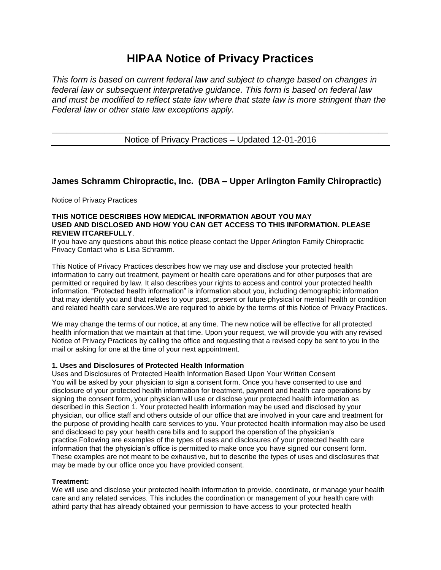# **HIPAA Notice of Privacy Practices**

*This form is based on current federal law and subject to change based on changes in federal law or subsequent interpretative guidance. This form is based on federal law and must be modified to reflect state law where that state law is more stringent than the Federal law or other state law exceptions apply.* 

**\_\_\_\_\_\_\_\_\_\_\_\_\_\_\_\_\_\_\_\_\_\_\_\_\_\_\_\_\_\_\_\_\_\_\_\_\_\_\_\_\_\_\_\_\_\_\_\_\_\_\_\_\_\_\_\_\_\_\_\_\_\_\_\_\_\_\_\_\_\_** Notice of Privacy Practices – Updated 12-01-2016

# **James Schramm Chiropractic, Inc. (DBA – Upper Arlington Family Chiropractic)**

Notice of Privacy Practices

## **THIS NOTICE DESCRIBES HOW MEDICAL INFORMATION ABOUT YOU MAY USED AND DISCLOSED AND HOW YOU CAN GET ACCESS TO THIS INFORMATION. PLEASE REVIEW ITCAREFULLY**.

If you have any questions about this notice please contact the Upper Arlington Family Chiropractic Privacy Contact who is Lisa Schramm.

This Notice of Privacy Practices describes how we may use and disclose your protected health information to carry out treatment, payment or health care operations and for other purposes that are permitted or required by law. It also describes your rights to access and control your protected health information. "Protected health information" is information about you, including demographic information that may identify you and that relates to your past, present or future physical or mental health or condition and related health care services.We are required to abide by the terms of this Notice of Privacy Practices.

We may change the terms of our notice, at any time. The new notice will be effective for all protected health information that we maintain at that time. Upon your request, we will provide you with any revised Notice of Privacy Practices by calling the office and requesting that a revised copy be sent to you in the mail or asking for one at the time of your next appointment.

# **1. Uses and Disclosures of Protected Health Information**

Uses and Disclosures of Protected Health Information Based Upon Your Written Consent You will be asked by your physician to sign a consent form. Once you have consented to use and disclosure of your protected health information for treatment, payment and health care operations by signing the consent form, your physician will use or disclose your protected health information as described in this Section 1. Your protected health information may be used and disclosed by your physician, our office staff and others outside of our office that are involved in your care and treatment for the purpose of providing health care services to you. Your protected health information may also be used and disclosed to pay your health care bills and to support the operation of the physician's practice.Following are examples of the types of uses and disclosures of your protected health care information that the physician's office is permitted to make once you have signed our consent form. These examples are not meant to be exhaustive, but to describe the types of uses and disclosures that may be made by our office once you have provided consent.

# **Treatment:**

We will use and disclose your protected health information to provide, coordinate, or manage your health care and any related services. This includes the coordination or management of your health care with athird party that has already obtained your permission to have access to your protected health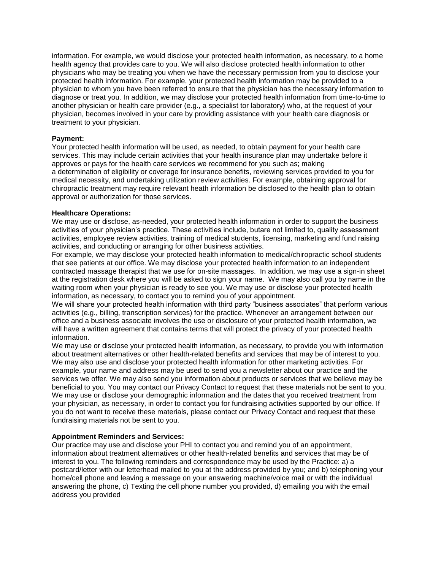information. For example, we would disclose your protected health information, as necessary, to a home health agency that provides care to you. We will also disclose protected health information to other physicians who may be treating you when we have the necessary permission from you to disclose your protected health information. For example, your protected health information may be provided to a physician to whom you have been referred to ensure that the physician has the necessary information to diagnose or treat you. In addition, we may disclose your protected health information from time-to-time to another physician or health care provider (e.g., a specialist tor laboratory) who, at the request of your physician, becomes involved in your care by providing assistance with your health care diagnosis or treatment to your physician.

# **Payment:**

Your protected health information will be used, as needed, to obtain payment for your health care services. This may include certain activities that your health insurance plan may undertake before it approves or pays for the health care services we recommend for you such as; making a determination of eligibility or coverage for insurance benefits, reviewing services provided to you for medical necessity, and undertaking utilization review activities. For example, obtaining approval for chiropractic treatment may require relevant heath information be disclosed to the health plan to obtain approval or authorization for those services.

# **Healthcare Operations:**

We may use or disclose, as-needed, your protected health information in order to support the business activities of your physician's practice. These activities include, butare not limited to, quality assessment activities, employee review activities, training of medical students, licensing, marketing and fund raising activities, and conducting or arranging for other business activities.

For example, we may disclose your protected health information to medical/chiropractic school students that see patients at our office. We may disclose your protected health information to an independent contracted massage therapist that we use for on-site massages. In addition, we may use a sign-in sheet at the registration desk where you will be asked to sign your name. We may also call you by name in the waiting room when your physician is ready to see you. We may use or disclose your protected health information, as necessary, to contact you to remind you of your appointment.

We will share your protected health information with third party "business associates" that perform various activities (e.g., billing, transcription services) for the practice. Whenever an arrangement between our office and a business associate involves the use or disclosure of your protected health information, we will have a written agreement that contains terms that will protect the privacy of your protected health information.

We may use or disclose your protected health information, as necessary, to provide you with information about treatment alternatives or other health-related benefits and services that may be of interest to you. We may also use and disclose your protected health information for other marketing activities. For example, your name and address may be used to send you a newsletter about our practice and the services we offer. We may also send you information about products or services that we believe may be beneficial to you. You may contact our Privacy Contact to request that these materials not be sent to you. We may use or disclose your demographic information and the dates that you received treatment from your physician, as necessary, in order to contact you for fundraising activities supported by our office. If you do not want to receive these materials, please contact our Privacy Contact and request that these fundraising materials not be sent to you.

# **Appointment Reminders and Services:**

Our practice may use and disclose your PHI to contact you and remind you of an appointment, information about treatment alternatives or other health-related benefits and services that may be of interest to you. The following reminders and correspondence may be used by the Practice: a) a postcard/letter with our letterhead mailed to you at the address provided by you; and b) telephoning your home/cell phone and leaving a message on your answering machine/voice mail or with the individual answering the phone, c) Texting the cell phone number you provided, d) emailing you with the email address you provided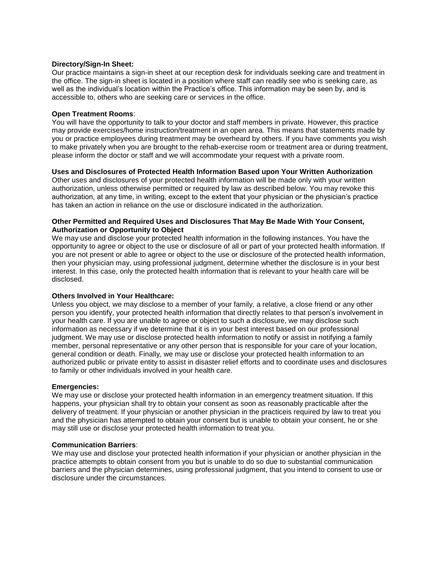# **Directory/Sign-In Sheet:**

Our practice maintains a sign-in sheet at our reception desk for individuals seeking care and treatment in the office. The sign-in sheet is located in a position where staff can readily see who is seeking care, as well as the individual's location within the Practice's office. This information may be seen by, and is accessible to, others who are seeking care or services in the office.

# **Open Treatment Rooms**:

You will have the opportunity to talk to your doctor and staff members in private. However, this practice may provide exercises/home instruction/treatment in an open area. This means that statements made by you or practice employees during treatment may be overheard by others. If you have comments you wish to make privately when you are brought to the rehab-exercise room or treatment area or during treatment, please inform the doctor or staff and we will accommodate your request with a private room.

# **Uses and Disclosures of Protected Health Information Based upon Your Written Authorization**

Other uses and disclosures of your protected health information will be made only with your written authorization, unless otherwise permitted or required by law as described below. You may revoke this authorization, at any time, in writing, except to the extent that your physician or the physician's practice has taken an action in reliance on the use or disclosure indicated in the authorization.

# **Other Permitted and Required Uses and Disclosures That May Be Made With Your Consent, Authorization or Opportunity to Object**

We may use and disclose your protected health information in the following instances. You have the opportunity to agree or object to the use or disclosure of all or part of your protected health information. If you are not present or able to agree or object to the use or disclosure of the protected health information, then your physician may, using professional judgment, determine whether the disclosure is in your best interest. In this case, only the protected health information that is relevant to your health care will be disclosed.

# **Others Involved in Your Healthcare:**

Unless you object, we may disclose to a member of your family, a relative, a close friend or any other person you identify, your protected health information that directly relates to that person's involvement in your health care. If you are unable to agree or object to such a disclosure, we may disclose such information as necessary if we determine that it is in your best interest based on our professional judgment. We may use or disclose protected health information to notify or assist in notifying a family member, personal representative or any other person that is responsible for your care of your location, general condition or death. Finally, we may use or disclose your protected health information to an authorized public or private entity to assist in disaster relief efforts and to coordinate uses and disclosures to family or other individuals involved in your health care.

# **Emergencies:**

We may use or disclose your protected health information in an emergency treatment situation. If this happens, your physician shall try to obtain your consent as soon as reasonably practicable after the delivery of treatment. If your physician or another physician in the practiceis required by law to treat you and the physician has attempted to obtain your consent but is unable to obtain your consent, he or she may still use or disclose your protected health information to treat you.

# **Communication Barriers**:

We may use and disclose your protected health information if your physician or another physician in the practice attempts to obtain consent from you but is unable to do so due to substantial communication barriers and the physician determines, using professional judgment, that you intend to consent to use or disclosure under the circumstances.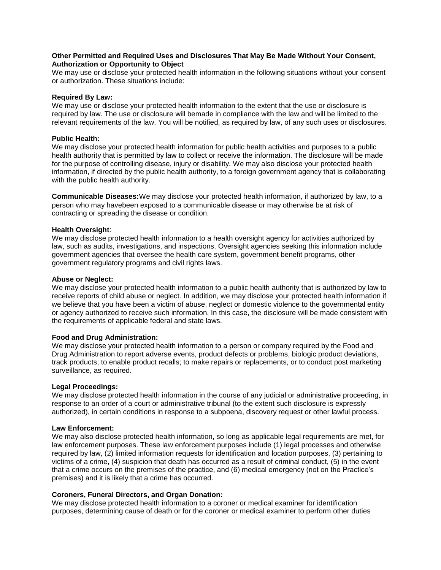# **Other Permitted and Required Uses and Disclosures That May Be Made Without Your Consent, Authorization or Opportunity to Object**

We may use or disclose your protected health information in the following situations without your consent or authorization. These situations include:

# **Required By Law:**

We may use or disclose your protected health information to the extent that the use or disclosure is required by law. The use or disclosure will bemade in compliance with the law and will be limited to the relevant requirements of the law. You will be notified, as required by law, of any such uses or disclosures.

## **Public Health:**

We may disclose your protected health information for public health activities and purposes to a public health authority that is permitted by law to collect or receive the information. The disclosure will be made for the purpose of controlling disease, injury or disability. We may also disclose your protected health information, if directed by the public health authority, to a foreign government agency that is collaborating with the public health authority.

**Communicable Diseases:**We may disclose your protected health information, if authorized by law, to a person who may havebeen exposed to a communicable disease or may otherwise be at risk of contracting or spreading the disease or condition.

#### **Health Oversight**:

We may disclose protected health information to a health oversight agency for activities authorized by law, such as audits, investigations, and inspections. Oversight agencies seeking this information include government agencies that oversee the health care system, government benefit programs, other government regulatory programs and civil rights laws.

#### **Abuse or Neglect:**

We may disclose your protected health information to a public health authority that is authorized by law to receive reports of child abuse or neglect. In addition, we may disclose your protected health information if we believe that you have been a victim of abuse, neglect or domestic violence to the governmental entity or agency authorized to receive such information. In this case, the disclosure will be made consistent with the requirements of applicable federal and state laws.

# **Food and Drug Administration:**

We may disclose your protected health information to a person or company required by the Food and Drug Administration to report adverse events, product defects or problems, biologic product deviations, track products; to enable product recalls; to make repairs or replacements, or to conduct post marketing surveillance, as required.

#### **Legal Proceedings:**

We may disclose protected health information in the course of any judicial or administrative proceeding, in response to an order of a court or administrative tribunal (to the extent such disclosure is expressly authorized), in certain conditions in response to a subpoena, discovery request or other lawful process.

# **Law Enforcement:**

We may also disclose protected health information, so long as applicable legal requirements are met, for law enforcement purposes. These law enforcement purposes include (1) legal processes and otherwise required by law, (2) limited information requests for identification and location purposes, (3) pertaining to victims of a crime, (4) suspicion that death has occurred as a result of criminal conduct, (5) in the event that a crime occurs on the premises of the practice, and (6) medical emergency (not on the Practice's premises) and it is likely that a crime has occurred.

# **Coroners, Funeral Directors, and Organ Donation:**

We may disclose protected health information to a coroner or medical examiner for identification purposes, determining cause of death or for the coroner or medical examiner to perform other duties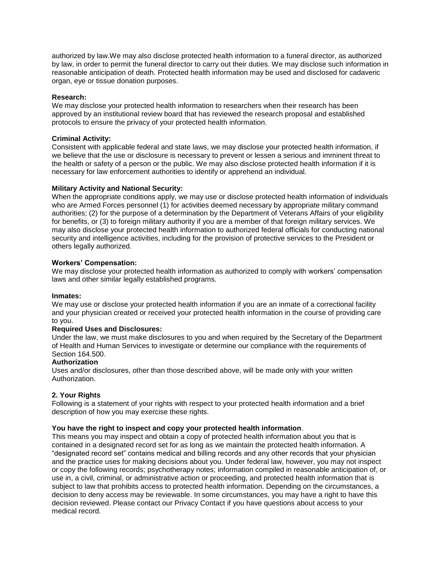authorized by law.We may also disclose protected health information to a funeral director, as authorized by law, in order to permit the funeral director to carry out their duties. We may disclose such information in reasonable anticipation of death. Protected health information may be used and disclosed for cadaveric organ, eye or tissue donation purposes.

# **Research:**

We may disclose your protected health information to researchers when their research has been approved by an institutional review board that has reviewed the research proposal and established protocols to ensure the privacy of your protected health information.

# **Criminal Activity:**

Consistent with applicable federal and state laws, we may disclose your protected health information, if we believe that the use or disclosure is necessary to prevent or lessen a serious and imminent threat to the health or safety of a person or the public. We may also disclose protected health information if it is necessary for law enforcement authorities to identify or apprehend an individual.

# **Military Activity and National Security:**

When the appropriate conditions apply, we may use or disclose protected health information of individuals who are Armed Forces personnel (1) for activities deemed necessary by appropriate military command authorities; (2) for the purpose of a determination by the Department of Veterans Affairs of your eligibility for benefits, or (3) to foreign military authority if you are a member of that foreign military services. We may also disclose your protected health information to authorized federal officials for conducting national security and intelligence activities, including for the provision of protective services to the President or others legally authorized.

# **Workers' Compensation:**

We may disclose your protected health information as authorized to comply with workers' compensation laws and other similar legally established programs.

# **Inmates:**

We may use or disclose your protected health information if you are an inmate of a correctional facility and your physician created or received your protected health information in the course of providing care to you.

# **Required Uses and Disclosures:**

Under the law, we must make disclosures to you and when required by the Secretary of the Department of Health and Human Services to investigate or determine our compliance with the requirements of Section 164.500.

# **Authorization**

Uses and/or disclosures, other than those described above, will be made only with your written Authorization.

# **2. Your Rights**

Following is a statement of your rights with respect to your protected health information and a brief description of how you may exercise these rights.

# **You have the right to inspect and copy your protected health information**.

This means you may inspect and obtain a copy of protected health information about you that is contained in a designated record set for as long as we maintain the protected health information. A "designated record set" contains medical and billing records and any other records that your physician and the practice uses for making decisions about you. Under federal law, however, you may not inspect or copy the following records; psychotherapy notes; information compiled in reasonable anticipation of, or use in, a civil, criminal, or administrative action or proceeding, and protected health information that is subject to law that prohibits access to protected health information. Depending on the circumstances, a decision to deny access may be reviewable. In some circumstances, you may have a right to have this decision reviewed. Please contact our Privacy Contact if you have questions about access to your medical record.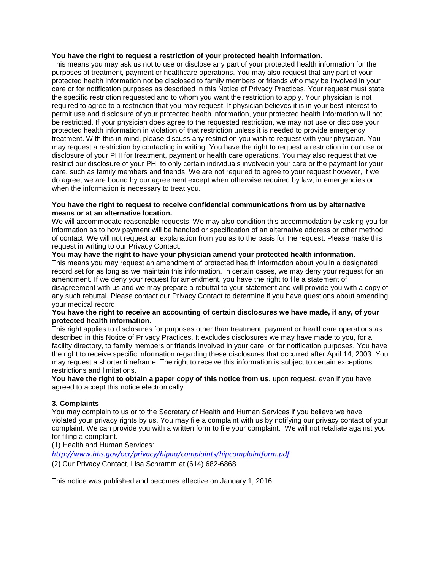# **You have the right to request a restriction of your protected health information.**

This means you may ask us not to use or disclose any part of your protected health information for the purposes of treatment, payment or healthcare operations. You may also request that any part of your protected health information not be disclosed to family members or friends who may be involved in your care or for notification purposes as described in this Notice of Privacy Practices. Your request must state the specific restriction requested and to whom you want the restriction to apply. Your physician is not required to agree to a restriction that you may request. If physician believes it is in your best interest to permit use and disclosure of your protected health information, your protected health information will not be restricted. If your physician does agree to the requested restriction, we may not use or disclose your protected health information in violation of that restriction unless it is needed to provide emergency treatment. With this in mind, please discuss any restriction you wish to request with your physician. You may request a restriction by contacting in writing. You have the right to request a restriction in our use or disclosure of your PHI for treatment, payment or health care operations. You may also request that we restrict our disclosure of your PHI to only certain individuals involvedin your care or the payment for your care, such as family members and friends. We are not required to agree to your request;however, if we do agree, we are bound by our agreement except when otherwise required by law, in emergencies or when the information is necessary to treat you.

# **You have the right to request to receive confidential communications from us by alternative means or at an alternative location.**

We will accommodate reasonable requests. We may also condition this accommodation by asking you for information as to how payment will be handled or specification of an alternative address or other method of contact. We will not request an explanation from you as to the basis for the request. Please make this request in writing to our Privacy Contact.

# **You may have the right to have your physician amend your protected health information.**

This means you may request an amendment of protected health information about you in a designated record set for as long as we maintain this information. In certain cases, we may deny your request for an amendment. If we deny your request for amendment, you have the right to file a statement of disagreement with us and we may prepare a rebuttal to your statement and will provide you with a copy of any such rebuttal. Please contact our Privacy Contact to determine if you have questions about amending your medical record.

# **You have the right to receive an accounting of certain disclosures we have made, if any, of your protected health information**.

This right applies to disclosures for purposes other than treatment, payment or healthcare operations as described in this Notice of Privacy Practices. It excludes disclosures we may have made to you, for a facility directory, to family members or friends involved in your care, or for notification purposes. You have the right to receive specific information regarding these disclosures that occurred after April 14, 2003. You may request a shorter timeframe. The right to receive this information is subject to certain exceptions, restrictions and limitations.

**You have the right to obtain a paper copy of this notice from us**, upon request, even if you have agreed to accept this notice electronically.

# **3. Complaints**

You may complain to us or to the Secretary of Health and Human Services if you believe we have violated your privacy rights by us. You may file a complaint with us by notifying our privacy contact of your complaint. We can provide you with a written form to file your complaint. We will not retaliate against you for filing a complaint.

(1) Health and Human Services:

*<http://www.hhs.gov/ocr/privacy/hipaa/complaints/hipcomplaintform.pdf>*

(2) Our Privacy Contact, Lisa Schramm at (614) 682-6868

This notice was published and becomes effective on January 1, 2016.